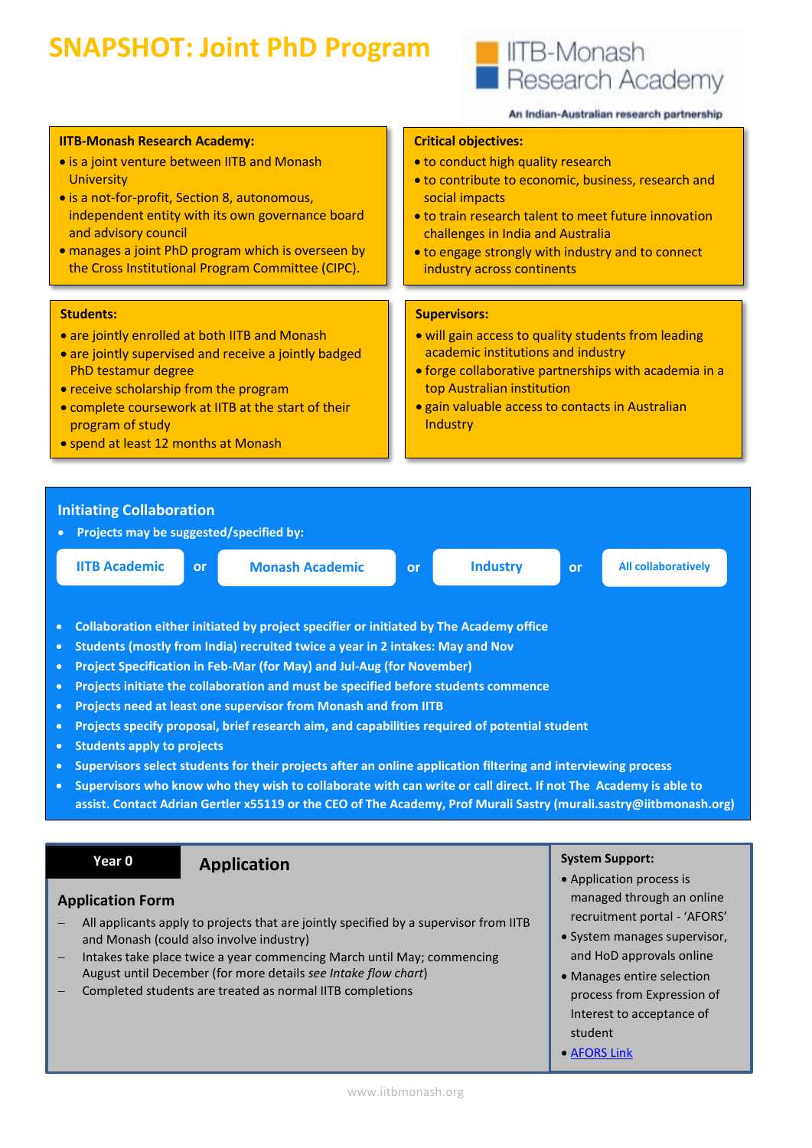# **SNAPSHOT: Joint PhD Program**



student [AFORS Link](https://apps.connect.monash.edu.au/apex/f?p=1155:1)

#### An Indian-Australian research partnership